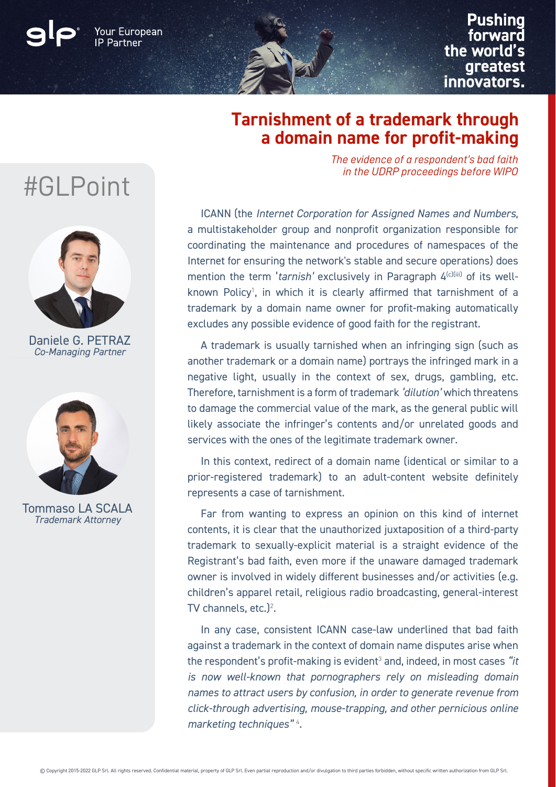Your European

**Pushing** forward the world's greatest innovators.

## **Tarnishment of a trademark through a domain name for profit-making**

*The evidence of a respondent's bad faith in the UDRP proceedings before WIPO*

7 coordinating the maintenance and procedures of namespaces of the excludes any possible evidence of good faith for the registrant. ICANN (the *Internet Corporation for Assigned Names and Numbers*, a multistakeholder group and nonprofit organization responsible for Internet for ensuring the network's stable and secure operations) does mention the term '*tarnish'* exclusively in Paragraph  $4^{(c)(iii)}$  of its wellknown Policy<sup>1</sup>, in which it is clearly affirmed that tarnishment of a trademark by a domain name owner for profit-making automatically

A trademark is usually tarnished when an infringing sign (such as another trademark or a domain name) portrays the infringed mark in a negative light, usually in the context of sex, drugs, gambling, etc. Therefore, tarnishment is a form of trademark *'dilution'* which threatens to damage the commercial value of the mark, as the general public will likely associate the infringer's contents and/or unrelated goods and services with the ones of the legitimate trademark owner.

In this context, redirect of a domain name (identical or similar to a prior-registered trademark) to an adult-content website definitely represents a case of tarnishment.

Far from wanting to express an opinion on this kind of internet contents, it is clear that the unauthorized juxtaposition of a third-party trademark to sexually-explicit material is a straight evidence of the Registrant's bad faith, even more if the unaware damaged trademark owner is involved in widely different businesses and/or activities (e.g. children's apparel retail, religious radio broadcasting, general-interest TV channels, etc. $)^2$ .

In any case, consistent ICANN case-law underlined that bad faith against a trademark in the context of domain name disputes arise when the respondent's profit-making is evident<sup>3</sup> and, indeed, in most cases "i*t is now well-known that pornographers rely on misleading domain names to attract users by confusion, in order to generate revenue from click-through advertising, mouse-trapping, and other pernicious online marketing techniques"* <sup>4</sup> .

## #GLPoint



Daniele G. PETRAZ *Co-Managing Partner*



Tommaso LA SCALA *Trademark Attorney*